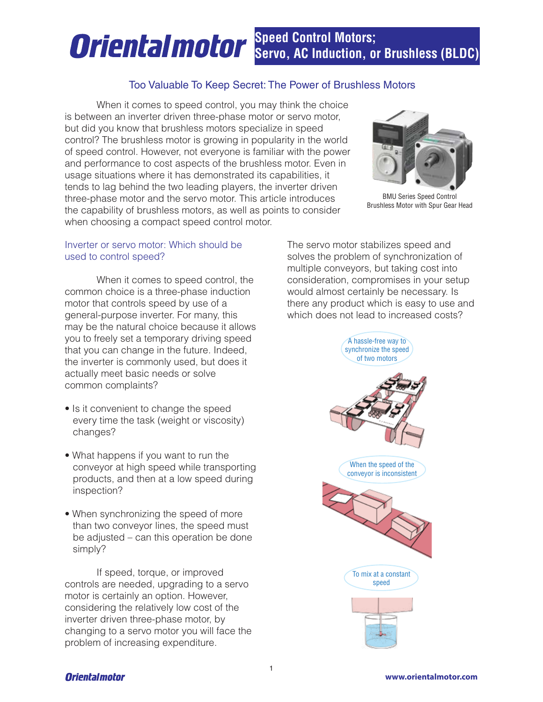# **Speed Control Motors; Oriental motor Servo, AC Induction, or Brushless (BLDC)**

# Too Valuable To Keep Secret: The Power of Brushless Motors

 When it comes to speed control, you may think the choice is between an inverter driven three-phase motor or servo motor, but did you know that brushless motors specialize in speed control? The brushless motor is growing in popularity in the world of speed control. However, not everyone is familiar with the power and performance to cost aspects of the brushless motor. Even in usage situations where it has demonstrated its capabilities, it tends to lag behind the two leading players, the inverter driven three-phase motor and the servo motor. This article introduces the capability of brushless motors, as well as points to consider when choosing a compact speed control motor.



BMU Series Speed Control Brushless Motor with Spur Gear Head

## Inverter or servo motor: Which should be used to control speed?

When it comes to speed control, the common choice is a three-phase induction motor that controls speed by use of a general-purpose inverter. For many, this may be the natural choice because it allows you to freely set a temporary driving speed that you can change in the future. Indeed, the inverter is commonly used, but does it actually meet basic needs or solve common complaints?

- Is it convenient to change the speed every time the task (weight or viscosity) changes?
- What happens if you want to run the conveyor at high speed while transporting products, and then at a low speed during inspection?
- When synchronizing the speed of more than two conveyor lines, the speed must be adjusted – can this operation be done simply?

 If speed, torque, or improved controls are needed, upgrading to a servo motor is certainly an option. However, considering the relatively low cost of the inverter driven three-phase motor, by changing to a servo motor you will face the problem of increasing expenditure.

The servo motor stabilizes speed and solves the problem of synchronization of multiple conveyors, but taking cost into consideration, compromises in your setup would almost certainly be necessary. Is there any product which is easy to use and which does not lead to increased costs?

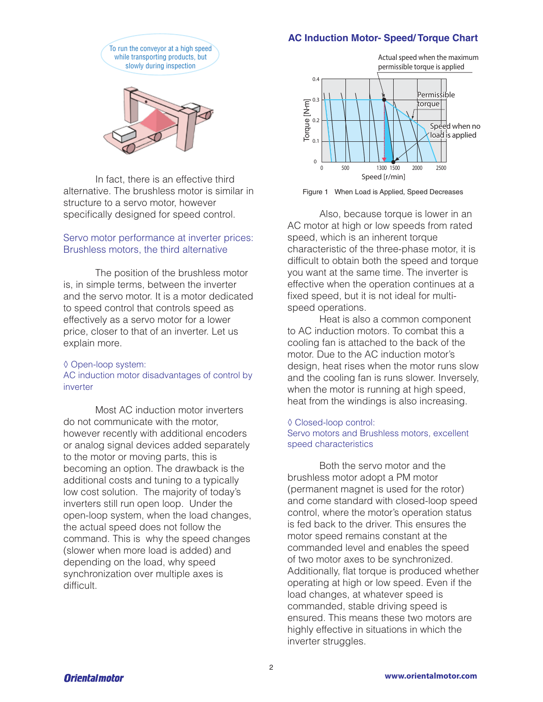# **AC Induction Motor- Speed/ Torque Chart**





 In fact, there is an effective third alternative. The brushless motor is similar in structure to a servo motor, however specifically designed for speed control.

## Servo motor performance at inverter prices: Brushless motors, the third alternative

 The position of the brushless motor is, in simple terms, between the inverter and the servo motor. It is a motor dedicated to speed control that controls speed as effectively as a servo motor for a lower price, closer to that of an inverter. Let us explain more.

### ◊ Open-loop system: AC induction motor disadvantages of control by inverter

 Most AC induction motor inverters do not communicate with the motor, however recently with additional encoders or analog signal devices added separately to the motor or moving parts, this is becoming an option. The drawback is the additional costs and tuning to a typically low cost solution. The majority of today's inverters still run open loop. Under the open-loop system, when the load changes, the actual speed does not follow the command. This is why the speed changes (slower when more load is added) and depending on the load, why speed synchronization over multiple axes is difficult.





 Also, because torque is lower in an AC motor at high or low speeds from rated speed, which is an inherent torque characteristic of the three-phase motor, it is difficult to obtain both the speed and torque you want at the same time. The inverter is effective when the operation continues at a fixed speed, but it is not ideal for multispeed operations.

 Heat is also a common component to AC induction motors. To combat this a cooling fan is attached to the back of the motor. Due to the AC induction motor's design, heat rises when the motor runs slow and the cooling fan is runs slower. Inversely, when the motor is running at high speed, heat from the windings is also increasing.

#### ◊ Closed-loop control: Servo motors and Brushless motors, excellent speed characteristics

 Both the servo motor and the brushless motor adopt a PM motor (permanent magnet is used for the rotor) and come standard with closed-loop speed control, where the motor's operation status is fed back to the driver. This ensures the motor speed remains constant at the commanded level and enables the speed of two motor axes to be synchronized. Additionally, flat torque is produced whether operating at high or low speed. Even if the load changes, at whatever speed is commanded, stable driving speed is ensured. This means these two motors are highly effective in situations in which the inverter struggles.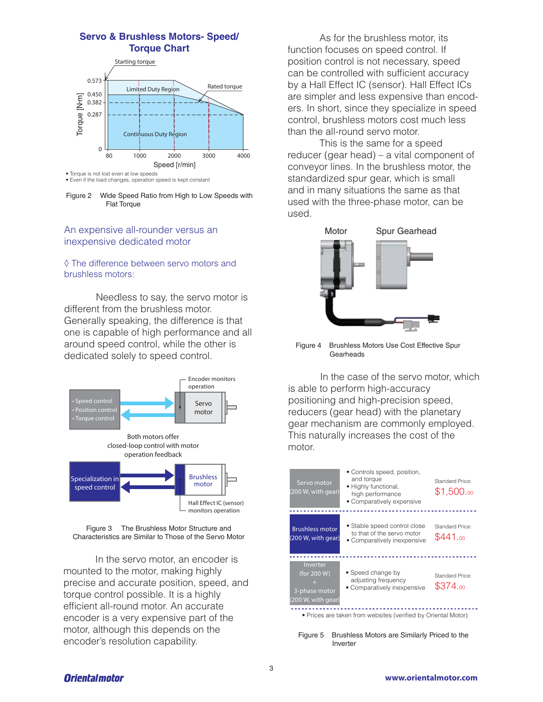# **Servo & Brushless Motors- Speed/ Torque Chart**



• Torque is not lost even at low speeds • Even if the load changes, operation speed is kept constant

Figure 2 Wide Speed Ratio from High to Low Speeds with Flat Torque

## An expensive all-rounder versus an inexpensive dedicated motor

#### ◊ The difference between servo motors and brushless motors:

Needless to say, the servo motor is different from the brushless motor. Generally speaking, the difference is that one is capable of high performance and all around speed control, while the other is dedicated solely to speed control.



Figure 3 The Brushless Motor Structure and Characteristics are Similar to Those of the Servo Motor

 In the servo motor, an encoder is mounted to the motor, making highly precise and accurate position, speed, and torque control possible. It is a highly efficient all-round motor. An accurate encoder is a very expensive part of the motor, although this depends on the encoder's resolution capability.

 As for the brushless motor, its function focuses on speed control. If position control is not necessary, speed can be controlled with sufficient accuracy by a Hall Effect IC (sensor). Hall Effect ICs are simpler and less expensive than encoders. In short, since they specialize in speed control, brushless motors cost much less than the all-round servo motor.

 This is the same for a speed reducer (gear head) – a vital component of conveyor lines. In the brushless motor, the standardized spur gear, which is small and in many situations the same as that used with the three-phase motor, can be used.



Figure 4 Brushless Motors Use Cost Effective Spur Gearheads

 In the case of the servo motor, which is able to perform high-accuracy positioning and high-precision speed, reducers (gear head) with the planetary gear mechanism are commonly employed. This naturally increases the cost of the motor.



Figure 5 Brushless Motors are Similarly Priced to the Inverter

# **Orientalmotor**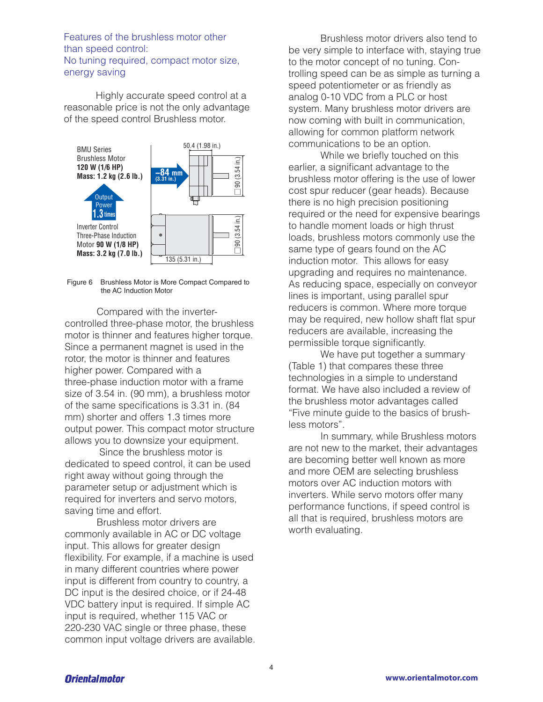Features of the brushless motor other than speed control: No tuning required, compact motor size, energy saving

 Highly accurate speed control at a reasonable price is not the only advantage of the speed control Brushless motor.



Figure 6 Brushless Motor is More Compact Compared to the AC Induction Motor

 Compared with the invertercontrolled three-phase motor, the brushless motor is thinner and features higher torque. Since a permanent magnet is used in the rotor, the motor is thinner and features higher power. Compared with a three-phase induction motor with a frame size of 3.54 in. (90 mm), a brushless motor of the same specifications is 3.31 in. (84 mm) shorter and offers 1.3 times more output power. This compact motor structure allows you to downsize your equipment.

 Since the brushless motor is dedicated to speed control, it can be used right away without going through the parameter setup or adjustment which is required for inverters and servo motors, saving time and effort.

 Brushless motor drivers are commonly available in AC or DC voltage input. This allows for greater design flexibility. For example, if a machine is used in many different countries where power input is different from country to country, a DC input is the desired choice, or if 24-48 VDC battery input is required. If simple AC input is required, whether 115 VAC or 220-230 VAC single or three phase, these common input voltage drivers are available.

 Brushless motor drivers also tend to be very simple to interface with, staying true to the motor concept of no tuning. Controlling speed can be as simple as turning a speed potentiometer or as friendly as analog 0-10 VDC from a PLC or host system. Many brushless motor drivers are now coming with built in communication, allowing for common platform network communications to be an option.

 While we briefly touched on this earlier, a significant advantage to the brushless motor offering is the use of lower cost spur reducer (gear heads). Because there is no high precision positioning required or the need for expensive bearings to handle moment loads or high thrust loads, brushless motors commonly use the same type of gears found on the AC induction motor. This allows for easy upgrading and requires no maintenance. As reducing space, especially on conveyor lines is important, using parallel spur reducers is common. Where more torque may be required, new hollow shaft flat spur reducers are available, increasing the permissible torque significantly.

We have put together a summary (Table 1) that compares these three technologies in a simple to understand format. We have also included a review of the brushless motor advantages called "Five minute guide to the basics of brushless motors".

 In summary, while Brushless motors are not new to the market, their advantages are becoming better well known as more and more OEM are selecting brushless motors over AC induction motors with inverters. While servo motors offer many performance functions, if speed control is all that is required, brushless motors are worth evaluating.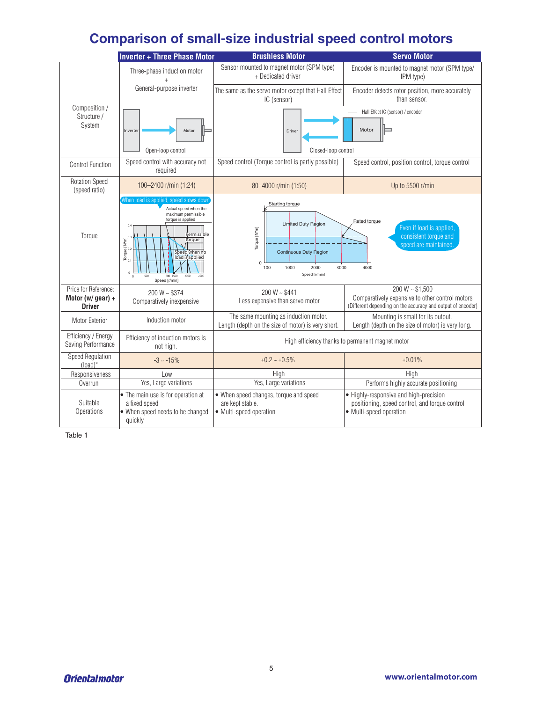# **Comparison of small-size industrial speed control motors**

|                                                            | <b>Inverter + Three Phase Motor</b>                                                                                                                                                                                                                                                                                                       | <b>Brushless Motor</b>                                                                                                                       | <b>Servo Motor</b>                                                                                                                 |
|------------------------------------------------------------|-------------------------------------------------------------------------------------------------------------------------------------------------------------------------------------------------------------------------------------------------------------------------------------------------------------------------------------------|----------------------------------------------------------------------------------------------------------------------------------------------|------------------------------------------------------------------------------------------------------------------------------------|
| Composition /<br>Structure /<br>System                     | Three-phase induction motor                                                                                                                                                                                                                                                                                                               | Sensor mounted to magnet motor (SPM type)<br>+ Dedicated driver                                                                              | Encoder is mounted to magnet motor (SPM type/<br>IPM type)                                                                         |
|                                                            | General-purpose inverter                                                                                                                                                                                                                                                                                                                  | The same as the servo motor except that Hall Effect<br>IC (sensor)                                                                           | Encoder detects rotor position, more accurately<br>than sensor.                                                                    |
|                                                            | Motor<br>Inverter<br>Open-loop control                                                                                                                                                                                                                                                                                                    | Driver<br>Closed-loop control                                                                                                                | Hall Effect IC (sensor) / encoder<br>Motor                                                                                         |
| Control Function                                           | Speed control with accuracy not<br>required                                                                                                                                                                                                                                                                                               | Speed control (Torque control is partly possible)                                                                                            | Speed control, position control, torque control                                                                                    |
| <b>Rotation Speed</b><br>(speed ratio)                     | 100-2400 r/min (1:24)                                                                                                                                                                                                                                                                                                                     | 80-4000 r/min (1:50)                                                                                                                         | Up to 5500 r/min                                                                                                                   |
| Torque                                                     | When load is applied, speed slows down<br>Actual speed when the<br>maximum permissible<br>torque is applied<br>Permissible<br>$\begin{bmatrix}\n\text{Torque} \, [\text{N}^{\bullet}\text{m}]\n\end{bmatrix}^{\text{0.3}}$<br>torque<br>Speed when no<br>load is applied<br>1300 1500<br>2500<br>500<br>2000<br>$\theta$<br>Speed [r/min] | Starting torque<br>Limited Duty Region<br>Torque [N*m]<br>Continuous Duty Region<br>$\Omega$<br>1000<br>2000<br>3000<br>100<br>Speed [r/min] | Rated torque<br>Even if load is applied,<br>consistent torque and<br>speed are maintained.<br>4000                                 |
| Price for Reference:<br>Motor (w/ gear) +<br><b>Driver</b> | $200 W - $374$<br>Comparatively inexpensive                                                                                                                                                                                                                                                                                               | $200 W - $441$<br>Less expensive than servo motor                                                                                            | $200 W - $1,500$<br>Comparatively expensive to other control motors<br>(Different depending on the accuracy and output of encoder) |
| Motor Exterior                                             | Induction motor                                                                                                                                                                                                                                                                                                                           | The same mounting as induction motor.<br>Length (depth on the size of motor) is very short.                                                  | Mounting is small for its output.<br>Length (depth on the size of motor) is very long.                                             |
| Efficiency / Energy<br>Saving Performance                  | Efficiency of induction motors is<br>not high.                                                                                                                                                                                                                                                                                            | High efficiency thanks to permanent magnet motor                                                                                             |                                                                                                                                    |
| <b>Speed Regulation</b><br>$(load)^*$                      | $-3 \sim -15\%$                                                                                                                                                                                                                                                                                                                           | $±0.2 - ±0.5%$                                                                                                                               | ±0.01%                                                                                                                             |
| Responsiveness                                             | Low                                                                                                                                                                                                                                                                                                                                       | High                                                                                                                                         | High                                                                                                                               |
| Overrun                                                    | Yes, Large variations                                                                                                                                                                                                                                                                                                                     | Yes, Large variations                                                                                                                        | Performs highly accurate positioning                                                                                               |
| Suitable<br>Operations                                     | • The main use is for operation at<br>a fixed speed<br>• When speed needs to be changed<br>quickly                                                                                                                                                                                                                                        | • When speed changes, torque and speed<br>are kept stable.<br>• Multi-speed operation                                                        | • Highly-responsive and high-precision<br>positioning, speed control, and torque control<br>• Multi-speed operation                |

Table 1